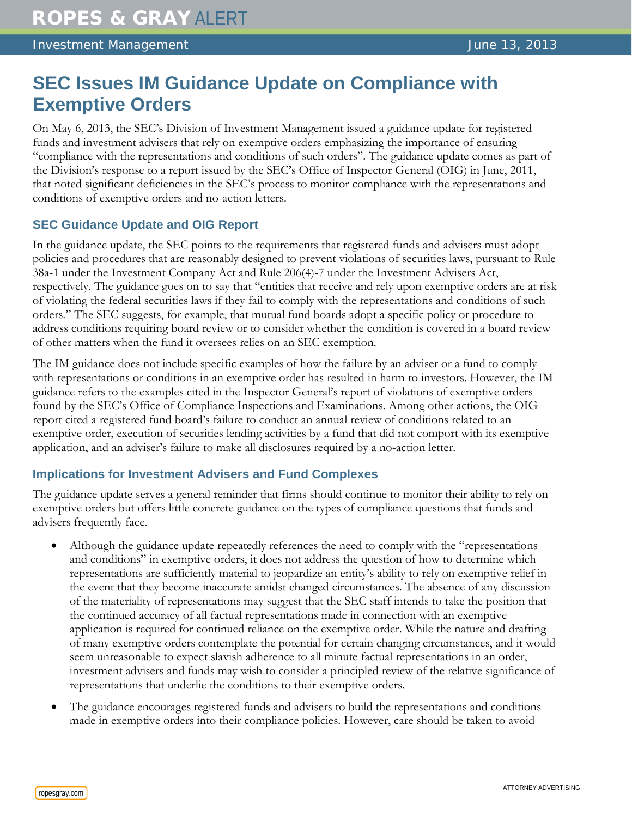# **SEC Issues IM Guidance Update on Compliance with Exemptive Orders**

On May 6, 2013, the SEC's Division of Investment Management issued a guidance update for registered funds and investment advisers that rely on exemptive orders emphasizing the importance of ensuring "compliance with the representations and conditions of such orders". The guidance update comes as part of the Division's response to a report issued by the SEC's Office of Inspector General (OIG) in June, 2011, that noted significant deficiencies in the SEC's process to monitor compliance with the representations and conditions of exemptive orders and no-action letters.

# **SEC Guidance Update and OIG Report**

In the guidance update, the SEC points to the requirements that registered funds and advisers must adopt policies and procedures that are reasonably designed to prevent violations of securities laws, pursuant to Rule 38a-1 under the Investment Company Act and Rule 206(4)-7 under the Investment Advisers Act, respectively. The guidance goes on to say that "entities that receive and rely upon exemptive orders are at risk of violating the federal securities laws if they fail to comply with the representations and conditions of such orders." The SEC suggests, for example, that mutual fund boards adopt a specific policy or procedure to address conditions requiring board review or to consider whether the condition is covered in a board review of other matters when the fund it oversees relies on an SEC exemption.

The IM guidance does not include specific examples of how the failure by an adviser or a fund to comply with representations or conditions in an exemptive order has resulted in harm to investors. However, the IM guidance refers to the examples cited in the Inspector General's report of violations of exemptive orders found by the SEC's Office of Compliance Inspections and Examinations. Among other actions, the OIG report cited a registered fund board's failure to conduct an annual review of conditions related to an exemptive order, execution of securities lending activities by a fund that did not comport with its exemptive application, and an adviser's failure to make all disclosures required by a no-action letter.

## **Implications for Investment Advisers and Fund Complexes**

The guidance update serves a general reminder that firms should continue to monitor their ability to rely on exemptive orders but offers little concrete guidance on the types of compliance questions that funds and advisers frequently face.

- Although the guidance update repeatedly references the need to comply with the "representations" and conditions" in exemptive orders, it does not address the question of how to determine which representations are sufficiently material to jeopardize an entity's ability to rely on exemptive relief in the event that they become inaccurate amidst changed circumstances. The absence of any discussion of the materiality of representations may suggest that the SEC staff intends to take the position that the continued accuracy of all factual representations made in connection with an exemptive application is required for continued reliance on the exemptive order. While the nature and drafting of many exemptive orders contemplate the potential for certain changing circumstances, and it would seem unreasonable to expect slavish adherence to all minute factual representations in an order, investment advisers and funds may wish to consider a principled review of the relative significance of representations that underlie the conditions to their exemptive orders.
- The guidance encourages registered funds and advisers to build the representations and conditions made in exemptive orders into their compliance policies. However, care should be taken to avoid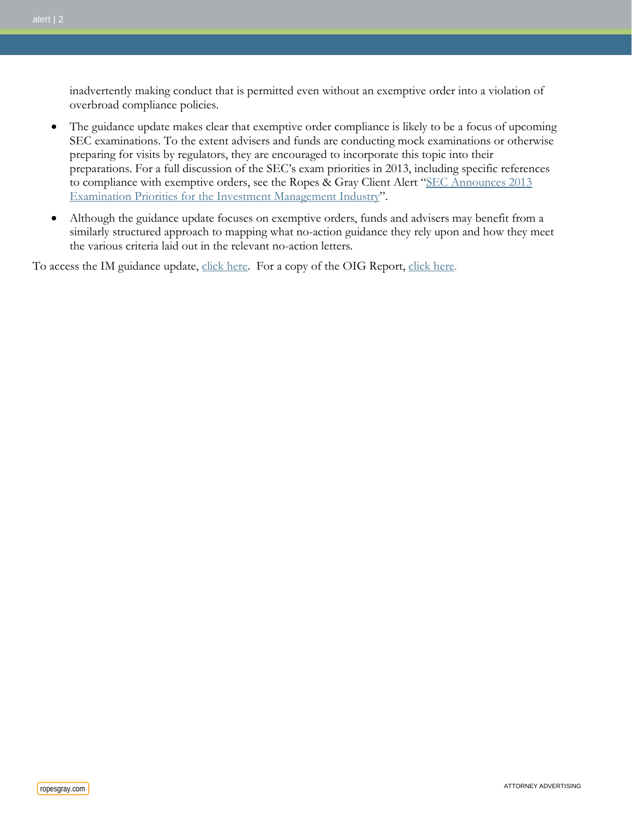inadvertently making conduct that is permitted even without an exemptive order into a violation of overbroad compliance policies.

- The guidance update makes clear that exemptive order compliance is likely to be a focus of upcoming SEC examinations. To the extent advisers and funds are conducting mock examinations or otherwise preparing for visits by regulators, they are encouraged to incorporate this topic into their preparations. For a full discussion of the SEC's exam priorities in 2013, including specific references to compliance with exemptive orders, see the Ropes & Gray Client Alert "SEC Announces 2013 [Examination Priorities for the Investment Management Industry"](http://www.ropesgray.com/files/upload/20130228_IM_Alert.pdf).
- Although the guidance update focuses on exemptive orders, funds and advisers may benefit from a similarly structured approach to mapping what no-action guidance they rely upon and how they meet the various criteria laid out in the relevant no-action letters.

To access the IM guidance update, [click here.](http://www.sec-oig.gov/Reports/AuditsInspections/2011/482.pdf) For a copy of the OIG Report, click here.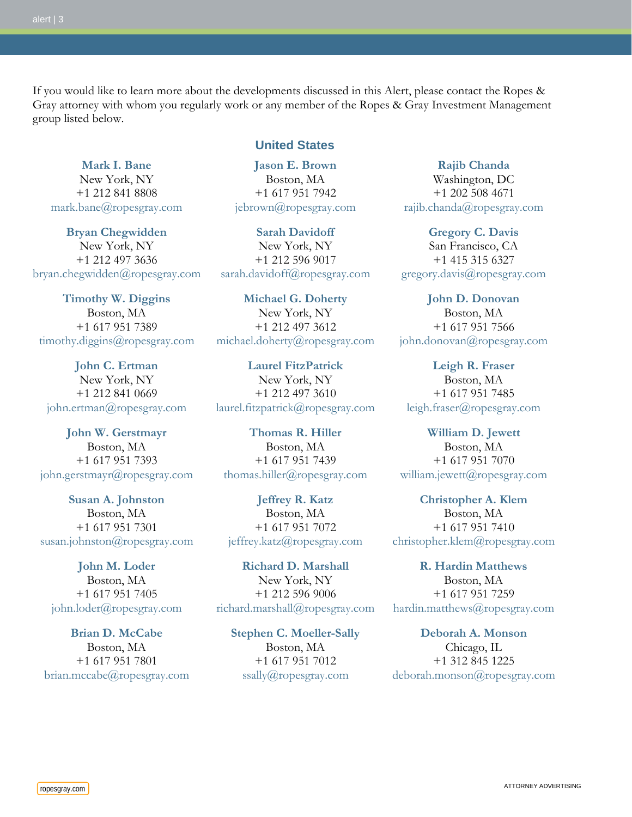If you would like to learn more about the developments discussed in this Alert, please contact the Ropes & Gray attorney with whom you regularly work or any member of the Ropes & Gray Investment Management group listed below.

**[Mark I. Bane](http://www.ropesgray.com/markbane/)** New York, NY +1 212 841 8808 [mark.bane@ropesgray.com](mailto:mark.bane@ropesgray.com)

**[Bryan Chegwidden](http://www.ropesgray.com/bryanchegwidden/)** New York, NY +1 212 497 3636 [bryan.chegwidden@ropesgray.com](mailto:bryan.chegwidden@ropesgray.com)

**[Timothy W. Diggins](http://www.ropesgray.com/timothydiggins/)** Boston, MA +1 617 951 7389 [timothy.diggins@ropesgray.com](mailto:timothy.diggins@ropesgray.com)

**[John C. Ertman](http://www.ropesgray.com/johnertman/)** New York, NY +1 212 841 0669 [john.ertman@ropesgray.com](mailto:john.ertman@ropesgray.com)

**[John W. Gerstmayr](http://www.ropesgray.com/johngerstmayr/)** Boston, MA +1 617 951 7393 [john.gerstmayr@ropesgray.com](mailto:john.gerstmayr@ropesgray.com)

**[Susan A. Johnston](http://www.ropesgray.com/susanjohnston/)** Boston, MA +1 617 951 7301 [susan.johnston@ropesgray.com](mailto:susan.johnston@ropesgray.com)

**[John M. Loder](http://www.ropesgray.com/johnloder/)** Boston, MA +1 617 951 7405 [john.loder@ropesgray.com](mailto:john.loder@ropesgray.com)

**[Brian D. McCabe](http://www.ropesgray.com/brianmccabe/)** Boston, MA +1 617 951 7801 [brian.mccabe@ropesgray.com](mailto:brian.mccabe@ropesgray.com)

#### **United States**

**[Jason E. Brown](http://www.ropesgray.com/jebrown/)** Boston, MA +1 617 951 7942 [jebrown@ropesgray.com](mailto:jebrown@ropesgray.com)

**[Sarah Davidoff](http://www.ropesgray.com/sarahdavidoff/)** New York, NY +1 212 596 9017 [sarah.davidoff@ropesgray.com](mailto:sarah.davidoff@ropesgray.com)

**[Michael G. Doherty](http://www.ropesgray.com/michaeldoherty/)** New York, NY +1 212 497 3612 [michael.doherty@ropesgray.com](mailto:michael.doherty@ropesgray.com)

**[Laurel FitzPatrick](http://www.ropesgray.com/laurelfitzpatrick/)** New York, NY +1 212 497 3610 [laurel.fitzpatrick@ropesgray.com](mailto:laurel.fitzpatrick@ropesgray.com)

**[Thomas R. Hiller](http://www.ropesgray.com/thomashiller/)** Boston, MA +1 617 951 7439 [thomas.hiller@ropesgray.com](mailto:thomas.hiller@ropesgray.com)

**[Jeffrey R. Katz](http://www.ropesgray.com/jeffreykatz/)** Boston, MA +1 617 951 7072 [jeffrey.katz@ropesgray.com](mailto:jeffrey.katz@ropesgray.com)

**[Richard D. Marshall](http://www.ropesgray.com/richardmarshall/)** New York, NY +1 212 596 9006 [richard.marshall@ropesgray.com](mailto:richard.marshall@ropesgray.com)

**[Stephen C. Moeller-Sally](http://www.ropesgray.com/stephenmoeller-sally/)** Boston, MA +1 617 951 7012 [ssally@ropesgray.com](mailto:ssally@ropesgray.com)

**[Rajib Chanda](http://www.ropesgray.com/rajibchanda/)** Washington, DC +1 202 508 4671 [rajib.chanda@ropesgray.com](mailto:rajib.chanda@ropesgray.com)

**[Gregory C. Davis](http://www.ropesgray.com/gregorydavis/)** San Francisco, CA +1 415 315 6327 [gregory.davis@ropesgray.com](mailto:gregory.davis@ropesgray.com)

**[John D. Donovan](http://www.ropesgray.com/johndonovan/)** Boston, MA +1 617 951 7566 [john.donovan@ropesgray.com](mailto:john.donovan@ropesgray.com)

**[Leigh R. Fraser](http://www.ropesgray.com/leighfraser/)** Boston, MA +1 617 951 7485 [leigh.fraser@ropesgray.com](mailto:leigh.fraser@ropesgray.com)

**[William D. Jewett](http://www.ropesgray.com/williamjewett/)** Boston, MA +1 617 951 7070 [william.jewett@ropesgray.com](mailto:william.jewett@ropesgray.com)

**[Christopher A. Klem](http://www.ropesgray.com/christopherklem/)** Boston, MA +1 617 951 7410 [christopher.klem@ropesgray.com](mailto:christopher.klem@ropesgray.com)

**[R. Hardin Matthews](http://www.ropesgray.com/hardinmatthews/)** Boston, MA +1 617 951 7259 [hardin.matthews@ropesgray.com](mailto:hardin.matthews@ropesgray.com)

**[Deborah A. Monson](http://www.ropesgray.com/deborahmonson/)** Chicago, IL +1 312 845 1225 [deborah.monson@ropesgray.com](mailto:deborah.monson@ropesgray.com)

ropesgray.com **ATTORNEY ADVERTISING** and the computation of the computation of the computation of the computation of the computation of the computation of the computation of the computation of the computation of the comput